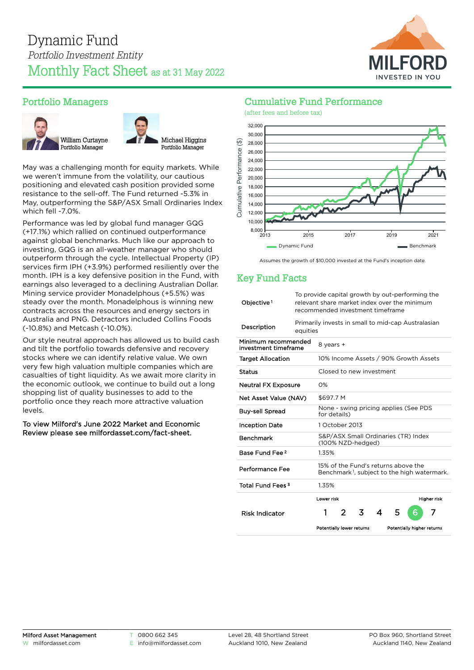

## Portfolio Managers





May was a challenging month for equity markets. While we weren't immune from the volatility, our cautious positioning and elevated cash position provided some resistance to the sell-off. The Fund returned -5.3% in May, outperforming the S&P/ASX Small Ordinaries Index which fell -7.0%.

Performance was led by global fund manager GQG (+17.1%) which rallied on continued outperformance against global benchmarks. Much like our approach to investing, GQG is an all-weather manager who should outperform through the cycle. Intellectual Property (IP) services firm IPH (+3.9%) performed resiliently over the month. IPH is a key defensive position in the Fund, with earnings also leveraged to a declining Australian Dollar. Mining service provider Monadelphous (+5.5%) was steady over the month. Monadelphous is winning new contracts across the resources and energy sectors in Australia and PNG. Detractors included Collins Foods (-10.8%) and Metcash (-10.0%).

Our style neutral approach has allowed us to build cash and tilt the portfolio towards defensive and recovery stocks where we can identify relative value. We own very few high valuation multiple companies which are casualties of tight liquidity. As we await more clarity in the economic outlook, we continue to build out a long shopping list of quality businesses to add to the portfolio once they reach more attractive valuation levels.

To view Milford's June 2022 Market and Economic Review please see [milfordasset.com/fact-sheet](https://milfordasset.com/wp-content/uploads/2022/06/Market-and-Economic-Review-June-2022.pdf).

## Cumulative Fund Performance



Assumes the growth of \$10,000 invested at the Fund's inception date.

## Key Fund Facts

| Objective <sup>1</sup>                      | To provide capital growth by out-performing the<br>relevant share market index over the minimum<br>recommended investment timeframe |                                                                                                |   |   |   |   |                            |                    |  |
|---------------------------------------------|-------------------------------------------------------------------------------------------------------------------------------------|------------------------------------------------------------------------------------------------|---|---|---|---|----------------------------|--------------------|--|
| Description                                 | Primarily invests in small to mid-cap Australasian<br>equities                                                                      |                                                                                                |   |   |   |   |                            |                    |  |
| Minimum recommended<br>investment timeframe |                                                                                                                                     | 8 years +                                                                                      |   |   |   |   |                            |                    |  |
| <b>Target Allocation</b>                    |                                                                                                                                     | 10% Income Assets / 90% Growth Assets                                                          |   |   |   |   |                            |                    |  |
| <b>Status</b>                               |                                                                                                                                     | Closed to new investment                                                                       |   |   |   |   |                            |                    |  |
| <b>Neutral FX Exposure</b>                  |                                                                                                                                     | $O\%$                                                                                          |   |   |   |   |                            |                    |  |
| Net Asset Value (NAV)                       |                                                                                                                                     | \$697.7 M                                                                                      |   |   |   |   |                            |                    |  |
| <b>Buy-sell Spread</b>                      |                                                                                                                                     | None - swing pricing applies (See PDS<br>for details)                                          |   |   |   |   |                            |                    |  |
| <b>Inception Date</b>                       |                                                                                                                                     | 1 October 2013                                                                                 |   |   |   |   |                            |                    |  |
| <b>Benchmark</b>                            |                                                                                                                                     | S&P/ASX Small Ordinaries (TR) Index<br>(100% NZD-hedged)                                       |   |   |   |   |                            |                    |  |
| Base Fund Fee 2                             |                                                                                                                                     | 1.35%                                                                                          |   |   |   |   |                            |                    |  |
| Performance Fee                             |                                                                                                                                     | 15% of the Fund's returns above the<br>Benchmark <sup>1</sup> , subject to the high watermark. |   |   |   |   |                            |                    |  |
| Total Fund Fees <sup>3</sup>                |                                                                                                                                     | 1.35%                                                                                          |   |   |   |   |                            |                    |  |
|                                             |                                                                                                                                     | Lower risk                                                                                     |   |   |   |   |                            | <b>Higher risk</b> |  |
| <b>Risk Indicator</b>                       |                                                                                                                                     | 1                                                                                              | 2 | 3 | 4 | 5 | 6                          | 7                  |  |
|                                             |                                                                                                                                     | Potentially lower returns                                                                      |   |   |   |   | Potentially higher returns |                    |  |